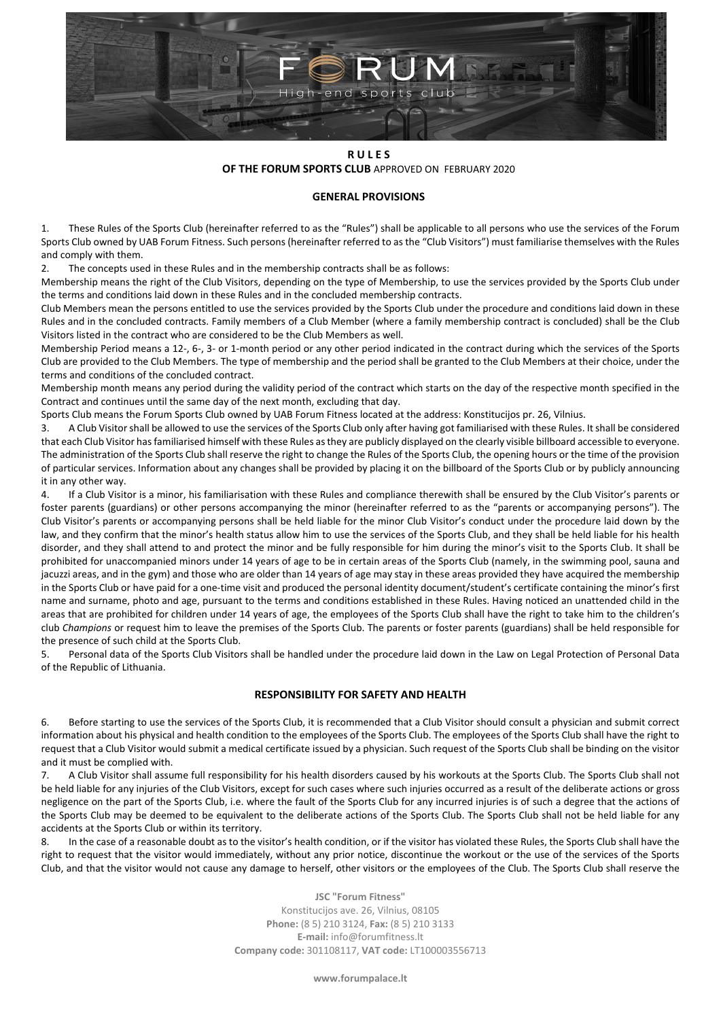

#### **R U L E S OF THE FORUM SPORTS CLUB** APPROVED ON FEBRUARY 2020

## **GENERAL PROVISIONS**

1. These Rules of the Sports Club (hereinafter referred to as the "Rules") shall be applicable to all persons who use the services of the Forum Sports Club owned by UAB Forum Fitness. Such persons (hereinafter referred to as the "Club Visitors") must familiarise themselves with the Rules and comply with them.

2. The concepts used in these Rules and in the membership contracts shall be as follows:

Membership means the right of the Club Visitors, depending on the type of Membership, to use the services provided by the Sports Club under the terms and conditions laid down in these Rules and in the concluded membership contracts.

Club Members mean the persons entitled to use the services provided by the Sports Club under the procedure and conditions laid down in these Rules and in the concluded contracts. Family members of a Club Member (where a family membership contract is concluded) shall be the Club Visitors listed in the contract who are considered to be the Club Members as well.

Membership Period means a 12-, 6-, 3- or 1-month period or any other period indicated in the contract during which the services of the Sports Club are provided to the Club Members. The type of membership and the period shall be granted to the Club Members at their choice, under the terms and conditions of the concluded contract.

Membership month means any period during the validity period of the contract which starts on the day of the respective month specified in the Contract and continues until the same day of the next month, excluding that day.

Sports Club means the Forum Sports Club owned by UAB Forum Fitness located at the address: Konstitucijos pr. 26, Vilnius.

3. A Club Visitor shall be allowed to use the services of the Sports Club only after having got familiarised with these Rules. It shall be considered that each Club Visitor has familiarised himself with these Rules as they are publicly displayed on the clearly visible billboard accessible to everyone. The administration of the Sports Club shall reserve the right to change the Rules of the Sports Club, the opening hours or the time of the provision of particular services. Information about any changes shall be provided by placing it on the billboard of the Sports Club or by publicly announcing it in any other way.

4. If a Club Visitor is a minor, his familiarisation with these Rules and compliance therewith shall be ensured by the Club Visitor's parents or foster parents (guardians) or other persons accompanying the minor (hereinafter referred to as the "parents or accompanying persons"). The Club Visitor's parents or accompanying persons shall be held liable for the minor Club Visitor's conduct under the procedure laid down by the law, and they confirm that the minor's health status allow him to use the services of the Sports Club, and they shall be held liable for his health disorder, and they shall attend to and protect the minor and be fully responsible for him during the minor's visit to the Sports Club. It shall be prohibited for unaccompanied minors under 14 years of age to be in certain areas of the Sports Club (namely, in the swimming pool, sauna and jacuzzi areas, and in the gym) and those who are older than 14 years of age may stay in these areas provided they have acquired the membership in the Sports Club or have paid for a one-time visit and produced the personal identity document/student's certificate containing the minor's first name and surname, photo and age, pursuant to the terms and conditions established in these Rules. Having noticed an unattended child in the areas that are prohibited for children under 14 years of age, the employees of the Sports Club shall have the right to take him to the children's club *Champions* or request him to leave the premises of the Sports Club. The parents or foster parents (guardians) shall be held responsible for the presence of such child at the Sports Club.

5. Personal data of the Sports Club Visitors shall be handled under the procedure laid down in the Law on Legal Protection of Personal Data of the Republic of Lithuania.

# **RESPONSIBILITY FOR SAFETY AND HEALTH**

6. Before starting to use the services of the Sports Club, it is recommended that a Club Visitor should consult a physician and submit correct information about his physical and health condition to the employees of the Sports Club. The employees of the Sports Club shall have the right to request that a Club Visitor would submit a medical certificate issued by a physician. Such request of the Sports Club shall be binding on the visitor and it must be complied with.

7. A Club Visitor shall assume full responsibility for his health disorders caused by his workouts at the Sports Club. The Sports Club shall not be held liable for any injuries of the Club Visitors, except for such cases where such injuries occurred as a result of the deliberate actions or gross negligence on the part of the Sports Club, i.e. where the fault of the Sports Club for any incurred injuries is of such a degree that the actions of the Sports Club may be deemed to be equivalent to the deliberate actions of the Sports Club. The Sports Club shall not be held liable for any accidents at the Sports Club or within its territory.

8. In the case of a reasonable doubt as to the visitor's health condition, or if the visitor has violated these Rules, the Sports Club shall have the right to request that the visitor would immediately, without any prior notice, discontinue the workout or the use of the services of the Sports Club, and that the visitor would not cause any damage to herself, other visitors or the employees of the Club. The Sports Club shall reserve the

> **JSC "Forum Fitness"** Konstitucijos ave. 26, Vilnius, 08105 **Phone:** (8 5) 210 3124, **Fax:** (8 5) 210 3133 **E-mail:** info@forumfitness.lt **Company code:** 301108117, **VAT code:** LT100003556713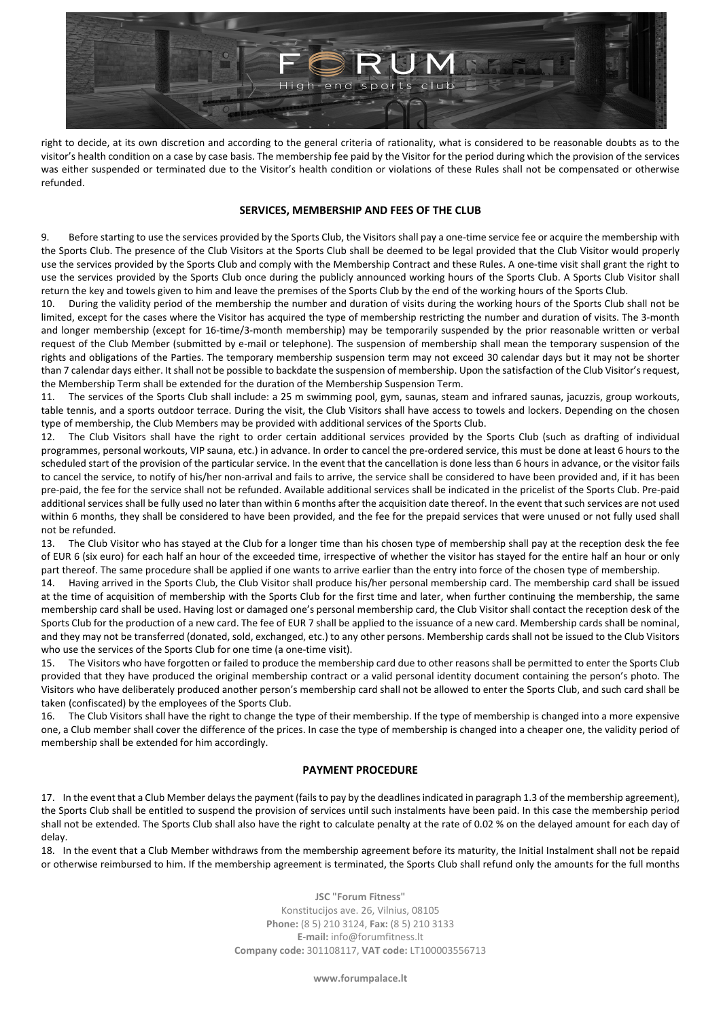

right to decide, at its own discretion and according to the general criteria of rationality, what is considered to be reasonable doubts as to the visitor's health condition on a case by case basis. The membership fee paid by the Visitor for the period during which the provision of the services was either suspended or terminated due to the Visitor's health condition or violations of these Rules shall not be compensated or otherwise refunded.

#### **SERVICES, MEMBERSHIP AND FEES OF THE CLUB**

9. Before starting to use the services provided by the Sports Club, the Visitors shall pay a one-time service fee or acquire the membership with the Sports Club. The presence of the Club Visitors at the Sports Club shall be deemed to be legal provided that the Club Visitor would properly use the services provided by the Sports Club and comply with the Membership Contract and these Rules. A one-time visit shall grant the right to use the services provided by the Sports Club once during the publicly announced working hours of the Sports Club. A Sports Club Visitor shall return the key and towels given to him and leave the premises of the Sports Club by the end of the working hours of the Sports Club.

10. During the validity period of the membership the number and duration of visits during the working hours of the Sports Club shall not be limited, except for the cases where the Visitor has acquired the type of membership restricting the number and duration of visits. The 3-month and longer membership (except for 16-time/3-month membership) may be temporarily suspended by the prior reasonable written or verbal request of the Club Member (submitted by e-mail or telephone). The suspension of membership shall mean the temporary suspension of the rights and obligations of the Parties. The temporary membership suspension term may not exceed 30 calendar days but it may not be shorter than 7 calendar days either. It shall not be possible to backdate the suspension of membership. Upon the satisfaction of the Club Visitor's request, the Membership Term shall be extended for the duration of the Membership Suspension Term.

11. The services of the Sports Club shall include: a 25 m swimming pool, gym, saunas, steam and infrared saunas, jacuzzis, group workouts, table tennis, and a sports outdoor terrace. During the visit, the Club Visitors shall have access to towels and lockers. Depending on the chosen type of membership, the Club Members may be provided with additional services of the Sports Club.

12. The Club Visitors shall have the right to order certain additional services provided by the Sports Club (such as drafting of individual programmes, personal workouts, VIP sauna, etc.) in advance. In order to cancel the pre-ordered service, this must be done at least 6 hours to the scheduled start of the provision of the particular service. In the event that the cancellation is done less than 6 hours in advance, or the visitor fails to cancel the service, to notify of his/her non-arrival and fails to arrive, the service shall be considered to have been provided and, if it has been pre-paid, the fee for the service shall not be refunded. Available additional services shall be indicated in the pricelist of the Sports Club. Pre-paid additional services shall be fully used no later than within 6 months after the acquisition date thereof. In the event that such services are not used within 6 months, they shall be considered to have been provided, and the fee for the prepaid services that were unused or not fully used shall not be refunded.

13. The Club Visitor who has stayed at the Club for a longer time than his chosen type of membership shall pay at the reception desk the fee of EUR 6 (six euro) for each half an hour of the exceeded time, irrespective of whether the visitor has stayed for the entire half an hour or only part thereof. The same procedure shall be applied if one wants to arrive earlier than the entry into force of the chosen type of membership.

14. Having arrived in the Sports Club, the Club Visitor shall produce his/her personal membership card. The membership card shall be issued at the time of acquisition of membership with the Sports Club for the first time and later, when further continuing the membership, the same membership card shall be used. Having lost or damaged one's personal membership card, the Club Visitor shall contact the reception desk of the Sports Club for the production of a new card. The fee of EUR 7 shall be applied to the issuance of a new card. Membership cards shall be nominal, and they may not be transferred (donated, sold, exchanged, etc.) to any other persons. Membership cards shall not be issued to the Club Visitors who use the services of the Sports Club for one time (a one-time visit).

15. The Visitors who have forgotten or failed to produce the membership card due to other reasons shall be permitted to enter the Sports Club provided that they have produced the original membership contract or a valid personal identity document containing the person's photo. The Visitors who have deliberately produced another person's membership card shall not be allowed to enter the Sports Club, and such card shall be taken (confiscated) by the employees of the Sports Club.

16. The Club Visitors shall have the right to change the type of their membership. If the type of membership is changed into a more expensive one, a Club member shall cover the difference of the prices. In case the type of membership is changed into a cheaper one, the validity period of membership shall be extended for him accordingly.

#### **PAYMENT PROCEDURE**

17. In the event that a Club Member delays the payment (fails to pay by the deadlines indicated in paragraph 1.3 of the membership agreement), the Sports Club shall be entitled to suspend the provision of services until such instalments have been paid. In this case the membership period shall not be extended. The Sports Club shall also have the right to calculate penalty at the rate of 0.02 % on the delayed amount for each day of delay.

18. In the event that a Club Member withdraws from the membership agreement before its maturity, the Initial Instalment shall not be repaid or otherwise reimbursed to him. If the membership agreement is terminated, the Sports Club shall refund only the amounts for the full months

> **JSC "Forum Fitness"** Konstitucijos ave. 26, Vilnius, 08105 **Phone:** (8 5) 210 3124, **Fax:** (8 5) 210 3133 **E-mail:** info@forumfitness.lt **Company code:** 301108117, **VAT code:** LT100003556713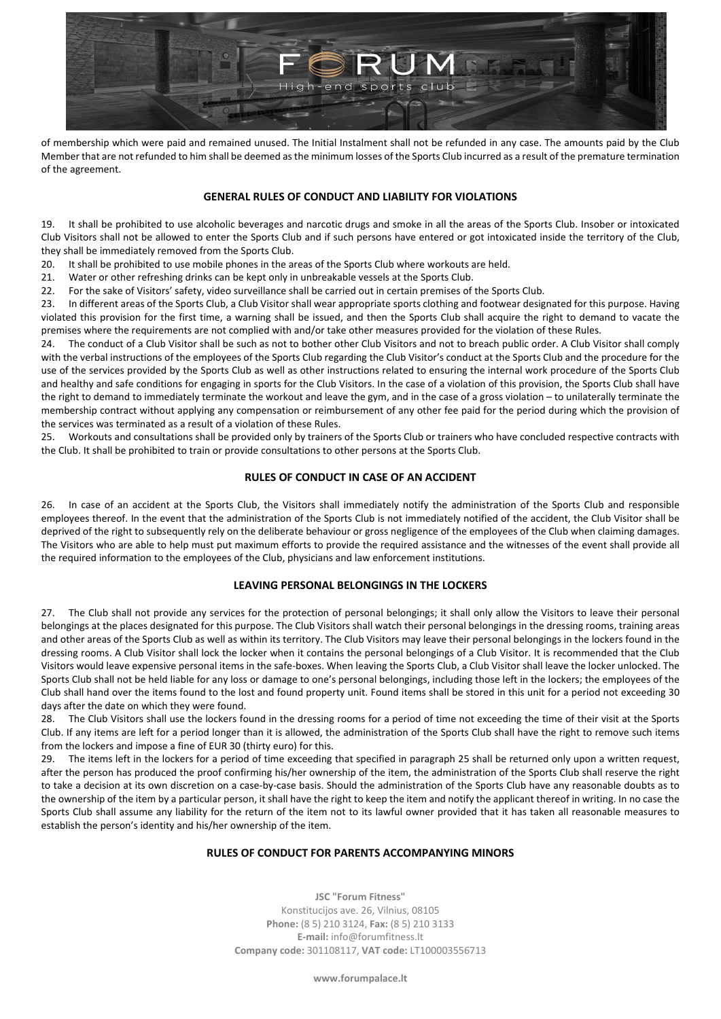

of membership which were paid and remained unused. The Initial Instalment shall not be refunded in any case. The amounts paid by the Club Member that are not refunded to him shall be deemed as the minimum losses of the Sports Club incurred as a result of the premature termination of the agreement.

## **GENERAL RULES OF CONDUCT AND LIABILITY FOR VIOLATIONS**

19. It shall be prohibited to use alcoholic beverages and narcotic drugs and smoke in all the areas of the Sports Club. Insober or intoxicated Club Visitors shall not be allowed to enter the Sports Club and if such persons have entered or got intoxicated inside the territory of the Club, they shall be immediately removed from the Sports Club.

20. It shall be prohibited to use mobile phones in the areas of the Sports Club where workouts are held.

21. Water or other refreshing drinks can be kept only in unbreakable vessels at the Sports Club.

22. For the sake of Visitors' safety, video surveillance shall be carried out in certain premises of the Sports Club.

23. In different areas of the Sports Club, a Club Visitor shall wear appropriate sports clothing and footwear designated for this purpose. Having violated this provision for the first time, a warning shall be issued, and then the Sports Club shall acquire the right to demand to vacate the premises where the requirements are not complied with and/or take other measures provided for the violation of these Rules.

24. The conduct of a Club Visitor shall be such as not to bother other Club Visitors and not to breach public order. A Club Visitor shall comply with the verbal instructions of the employees of the Sports Club regarding the Club Visitor's conduct at the Sports Club and the procedure for the use of the services provided by the Sports Club as well as other instructions related to ensuring the internal work procedure of the Sports Club and healthy and safe conditions for engaging in sports for the Club Visitors. In the case of a violation of this provision, the Sports Club shall have the right to demand to immediately terminate the workout and leave the gym, and in the case of a gross violation – to unilaterally terminate the membership contract without applying any compensation or reimbursement of any other fee paid for the period during which the provision of the services was terminated as a result of a violation of these Rules.

25. Workouts and consultations shall be provided only by trainers of the Sports Club or trainers who have concluded respective contracts with the Club. It shall be prohibited to train or provide consultations to other persons at the Sports Club.

## **RULES OF CONDUCT IN CASE OF AN ACCIDENT**

26. In case of an accident at the Sports Club, the Visitors shall immediately notify the administration of the Sports Club and responsible employees thereof. In the event that the administration of the Sports Club is not immediately notified of the accident, the Club Visitor shall be deprived of the right to subsequently rely on the deliberate behaviour or gross negligence of the employees of the Club when claiming damages. The Visitors who are able to help must put maximum efforts to provide the required assistance and the witnesses of the event shall provide all the required information to the employees of the Club, physicians and law enforcement institutions.

# **LEAVING PERSONAL BELONGINGS IN THE LOCKERS**

27. The Club shall not provide any services for the protection of personal belongings; it shall only allow the Visitors to leave their personal belongings at the places designated for this purpose. The Club Visitors shall watch their personal belongings in the dressing rooms, training areas and other areas of the Sports Club as well as within its territory. The Club Visitors may leave their personal belongings in the lockers found in the dressing rooms. A Club Visitor shall lock the locker when it contains the personal belongings of a Club Visitor. It is recommended that the Club Visitors would leave expensive personal items in the safe-boxes. When leaving the Sports Club, a Club Visitor shall leave the locker unlocked. The Sports Club shall not be held liable for any loss or damage to one's personal belongings, including those left in the lockers; the employees of the Club shall hand over the items found to the lost and found property unit. Found items shall be stored in this unit for a period not exceeding 30 days after the date on which they were found.

28. The Club Visitors shall use the lockers found in the dressing rooms for a period of time not exceeding the time of their visit at the Sports Club. If any items are left for a period longer than it is allowed, the administration of the Sports Club shall have the right to remove such items from the lockers and impose a fine of EUR 30 (thirty euro) for this.

29. The items left in the lockers for a period of time exceeding that specified in paragraph 25 shall be returned only upon a written request, after the person has produced the proof confirming his/her ownership of the item, the administration of the Sports Club shall reserve the right to take a decision at its own discretion on a case-by-case basis. Should the administration of the Sports Club have any reasonable doubts as to the ownership of the item by a particular person, it shall have the right to keep the item and notify the applicant thereof in writing. In no case the Sports Club shall assume any liability for the return of the item not to its lawful owner provided that it has taken all reasonable measures to establish the person's identity and his/her ownership of the item.

## **RULES OF CONDUCT FOR PARENTS ACCOMPANYING MINORS**

**JSC "Forum Fitness"** Konstitucijos ave. 26, Vilnius, 08105 **Phone:** (8 5) 210 3124, **Fax:** (8 5) 210 3133 **E-mail:** info@forumfitness.lt **Company code:** 301108117, **VAT code:** LT100003556713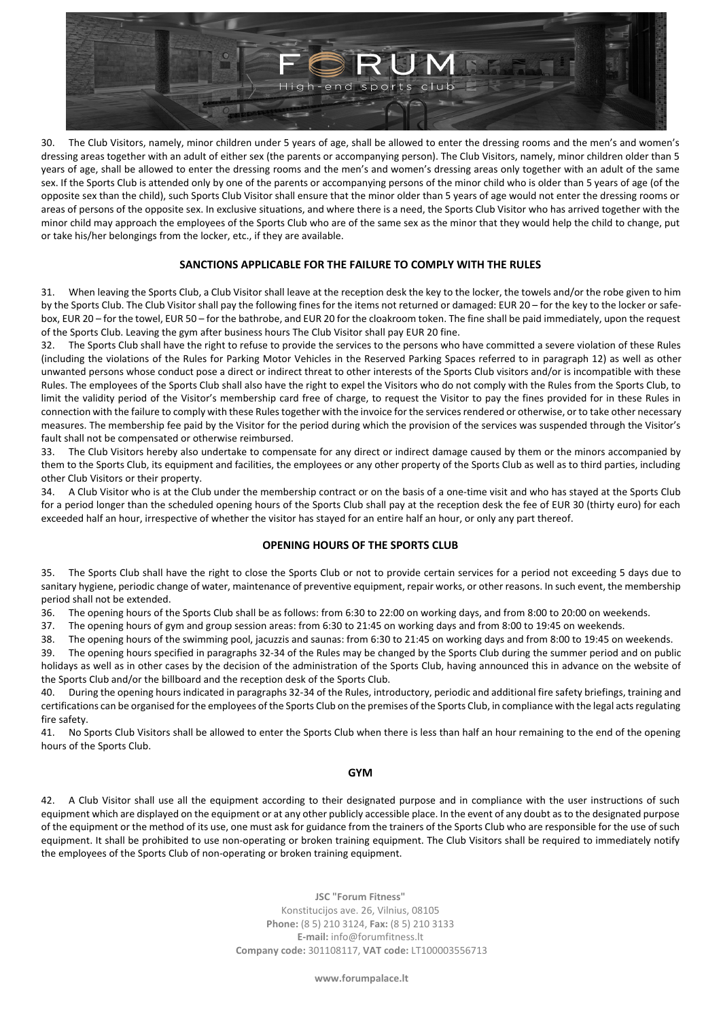

30. The Club Visitors, namely, minor children under 5 years of age, shall be allowed to enter the dressing rooms and the men's and women's dressing areas together with an adult of either sex (the parents or accompanying person). The Club Visitors, namely, minor children older than 5 years of age, shall be allowed to enter the dressing rooms and the men's and women's dressing areas only together with an adult of the same sex. If the Sports Club is attended only by one of the parents or accompanying persons of the minor child who is older than 5 years of age (of the opposite sex than the child), such Sports Club Visitor shall ensure that the minor older than 5 years of age would not enter the dressing rooms or areas of persons of the opposite sex. In exclusive situations, and where there is a need, the Sports Club Visitor who has arrived together with the minor child may approach the employees of the Sports Club who are of the same sex as the minor that they would help the child to change, put or take his/her belongings from the locker, etc., if they are available.

## **SANCTIONS APPLICABLE FOR THE FAILURE TO COMPLY WITH THE RULES**

31. When leaving the Sports Club, a Club Visitor shall leave at the reception desk the key to the locker, the towels and/or the robe given to him by the Sports Club. The Club Visitor shall pay the following fines for the items not returned or damaged: EUR 20 – for the key to the locker or safebox, EUR 20 – for the towel, EUR 50 – for the bathrobe, and EUR 20 for the cloakroom token. The fine shall be paid immediately, upon the request of the Sports Club. Leaving the gym after business hours The Club Visitor shall pay EUR 20 fine.

32. The Sports Club shall have the right to refuse to provide the services to the persons who have committed a severe violation of these Rules (including the violations of the Rules for Parking Motor Vehicles in the Reserved Parking Spaces referred to in paragraph 12) as well as other unwanted persons whose conduct pose a direct or indirect threat to other interests of the Sports Club visitors and/or is incompatible with these Rules. The employees of the Sports Club shall also have the right to expel the Visitors who do not comply with the Rules from the Sports Club, to limit the validity period of the Visitor's membership card free of charge, to request the Visitor to pay the fines provided for in these Rules in connection with the failure to comply with these Rules together with the invoice for the services rendered or otherwise, or to take other necessary measures. The membership fee paid by the Visitor for the period during which the provision of the services was suspended through the Visitor's fault shall not be compensated or otherwise reimbursed.

33. The Club Visitors hereby also undertake to compensate for any direct or indirect damage caused by them or the minors accompanied by them to the Sports Club, its equipment and facilities, the employees or any other property of the Sports Club as well as to third parties, including other Club Visitors or their property.

34. A Club Visitor who is at the Club under the membership contract or on the basis of a one-time visit and who has stayed at the Sports Club for a period longer than the scheduled opening hours of the Sports Club shall pay at the reception desk the fee of EUR 30 (thirty euro) for each exceeded half an hour, irrespective of whether the visitor has stayed for an entire half an hour, or only any part thereof.

#### **OPENING HOURS OF THE SPORTS CLUB**

35. The Sports Club shall have the right to close the Sports Club or not to provide certain services for a period not exceeding 5 days due to sanitary hygiene, periodic change of water, maintenance of preventive equipment, repair works, or other reasons. In such event, the membership period shall not be extended.

36. The opening hours of the Sports Club shall be as follows: from 6:30 to 22:00 on working days, and from 8:00 to 20:00 on weekends.

37. The opening hours of gym and group session areas: from 6:30 to 21:45 on working days and from 8:00 to 19:45 on weekends.

38. The opening hours of the swimming pool, jacuzzis and saunas: from 6:30 to 21:45 on working days and from 8:00 to 19:45 on weekends.

39. The opening hours specified in paragraphs 32-34 of the Rules may be changed by the Sports Club during the summer period and on public holidays as well as in other cases by the decision of the administration of the Sports Club, having announced this in advance on the website of the Sports Club and/or the billboard and the reception desk of the Sports Club.

40. During the opening hours indicated in paragraphs 32-34 of the Rules, introductory, periodic and additional fire safety briefings, training and certifications can be organised for the employees of the Sports Club on the premises of the Sports Club, in compliance with the legal acts regulating fire safety.

41. No Sports Club Visitors shall be allowed to enter the Sports Club when there is less than half an hour remaining to the end of the opening hours of the Sports Club.

#### **GYM**

42. A Club Visitor shall use all the equipment according to their designated purpose and in compliance with the user instructions of such equipment which are displayed on the equipment or at any other publicly accessible place. In the event of any doubt as to the designated purpose of the equipment or the method of its use, one must ask for guidance from the trainers of the Sports Club who are responsible for the use of such equipment. It shall be prohibited to use non-operating or broken training equipment. The Club Visitors shall be required to immediately notify the employees of the Sports Club of non-operating or broken training equipment.

> **JSC "Forum Fitness"** Konstitucijos ave. 26, Vilnius, 08105 **Phone:** (8 5) 210 3124, **Fax:** (8 5) 210 3133 **E-mail:** info@forumfitness.lt **Company code:** 301108117, **VAT code:** LT100003556713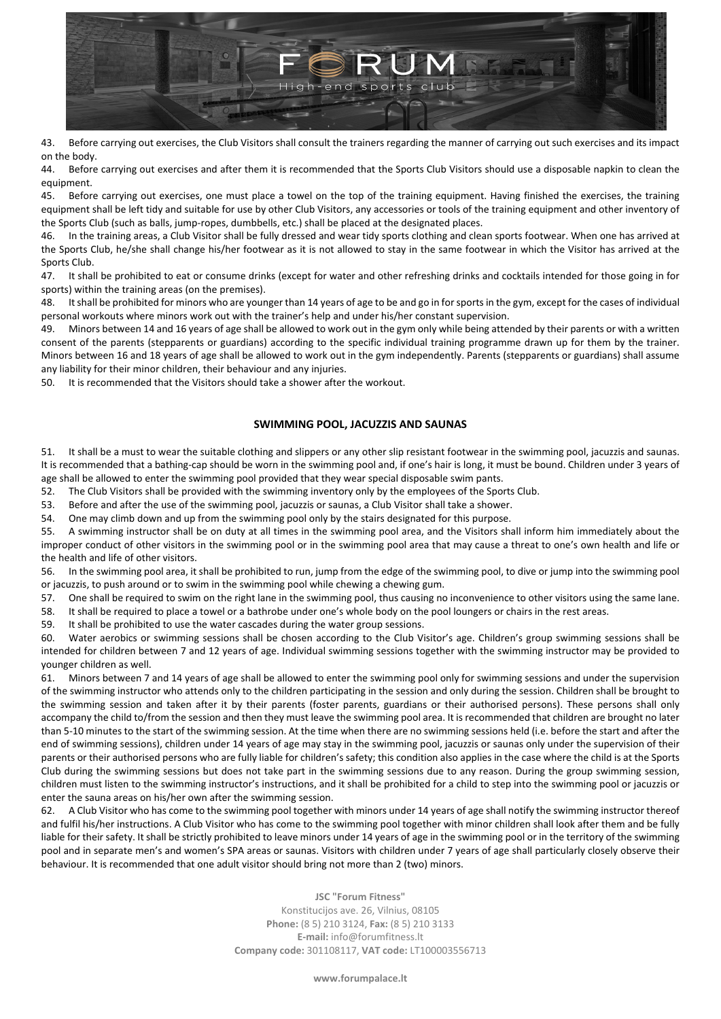

43. Before carrying out exercises, the Club Visitors shall consult the trainers regarding the manner of carrying out such exercises and its impact on the body.

44. Before carrying out exercises and after them it is recommended that the Sports Club Visitors should use a disposable napkin to clean the equipment.

45. Before carrying out exercises, one must place a towel on the top of the training equipment. Having finished the exercises, the training equipment shall be left tidy and suitable for use by other Club Visitors, any accessories or tools of the training equipment and other inventory of the Sports Club (such as balls, jump-ropes, dumbbells, etc.) shall be placed at the designated places.

46. In the training areas, a Club Visitor shall be fully dressed and wear tidy sports clothing and clean sports footwear. When one has arrived at the Sports Club, he/she shall change his/her footwear as it is not allowed to stay in the same footwear in which the Visitor has arrived at the Sports Club.

47. It shall be prohibited to eat or consume drinks (except for water and other refreshing drinks and cocktails intended for those going in for sports) within the training areas (on the premises).

48. It shall be prohibited for minors who are younger than 14 years of age to be and go in for sports in the gym, except for the cases of individual personal workouts where minors work out with the trainer's help and under his/her constant supervision.

49. Minors between 14 and 16 years of age shall be allowed to work out in the gym only while being attended by their parents or with a written consent of the parents (stepparents or guardians) according to the specific individual training programme drawn up for them by the trainer. Minors between 16 and 18 years of age shall be allowed to work out in the gym independently. Parents (stepparents or guardians) shall assume any liability for their minor children, their behaviour and any injuries.

50. It is recommended that the Visitors should take a shower after the workout.

# **SWIMMING POOL, JACUZZIS AND SAUNAS**

51. It shall be a must to wear the suitable clothing and slippers or any other slip resistant footwear in the swimming pool, jacuzzis and saunas. It is recommended that a bathing-cap should be worn in the swimming pool and, if one's hair is long, it must be bound. Children under 3 years of age shall be allowed to enter the swimming pool provided that they wear special disposable swim pants.

52. The Club Visitors shall be provided with the swimming inventory only by the employees of the Sports Club.

53. Before and after the use of the swimming pool, jacuzzis or saunas, a Club Visitor shall take a shower.

54. One may climb down and up from the swimming pool only by the stairs designated for this purpose.

55. A swimming instructor shall be on duty at all times in the swimming pool area, and the Visitors shall inform him immediately about the improper conduct of other visitors in the swimming pool or in the swimming pool area that may cause a threat to one's own health and life or the health and life of other visitors.

56. In the swimming pool area, it shall be prohibited to run, jump from the edge of the swimming pool, to dive or jump into the swimming pool or jacuzzis, to push around or to swim in the swimming pool while chewing a chewing gum.

57. One shall be required to swim on the right lane in the swimming pool, thus causing no inconvenience to other visitors using the same lane.

58. It shall be required to place a towel or a bathrobe under one's whole body on the pool loungers or chairs in the rest areas.

59. It shall be prohibited to use the water cascades during the water group sessions.

60. Water aerobics or swimming sessions shall be chosen according to the Club Visitor's age. Children's group swimming sessions shall be intended for children between 7 and 12 years of age. Individual swimming sessions together with the swimming instructor may be provided to younger children as well.

61. Minors between 7 and 14 years of age shall be allowed to enter the swimming pool only for swimming sessions and under the supervision of the swimming instructor who attends only to the children participating in the session and only during the session. Children shall be brought to the swimming session and taken after it by their parents (foster parents, guardians or their authorised persons). These persons shall only accompany the child to/from the session and then they must leave the swimming pool area. It is recommended that children are brought no later than 5-10 minutes to the start of the swimming session. At the time when there are no swimming sessions held (i.e. before the start and after the end of swimming sessions), children under 14 years of age may stay in the swimming pool, jacuzzis or saunas only under the supervision of their parents or their authorised persons who are fully liable for children's safety; this condition also applies in the case where the child is at the Sports Club during the swimming sessions but does not take part in the swimming sessions due to any reason. During the group swimming session, children must listen to the swimming instructor's instructions, and it shall be prohibited for a child to step into the swimming pool or jacuzzis or enter the sauna areas on his/her own after the swimming session.

62. A Club Visitor who has come to the swimming pool together with minors under 14 years of age shall notify the swimming instructor thereof and fulfil his/her instructions. A Club Visitor who has come to the swimming pool together with minor children shall look after them and be fully liable for their safety. It shall be strictly prohibited to leave minors under 14 years of age in the swimming pool or in the territory of the swimming pool and in separate men's and women's SPA areas or saunas. Visitors with children under 7 years of age shall particularly closely observe their behaviour. It is recommended that one adult visitor should bring not more than 2 (two) minors.

> **JSC "Forum Fitness"** Konstitucijos ave. 26, Vilnius, 08105 **Phone:** (8 5) 210 3124, **Fax:** (8 5) 210 3133 **E-mail:** info@forumfitness.lt **Company code:** 301108117, **VAT code:** LT100003556713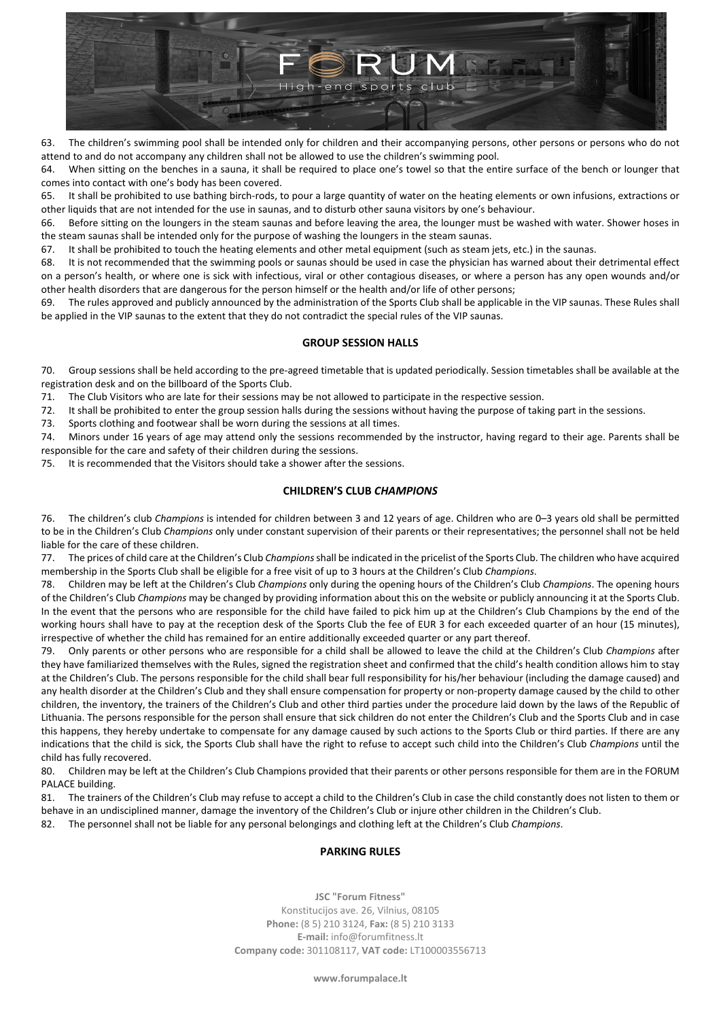

63. The children's swimming pool shall be intended only for children and their accompanying persons, other persons or persons who do not attend to and do not accompany any children shall not be allowed to use the children's swimming pool.

64. When sitting on the benches in a sauna, it shall be required to place one's towel so that the entire surface of the bench or lounger that comes into contact with one's body has been covered.

65. It shall be prohibited to use bathing birch-rods, to pour a large quantity of water on the heating elements or own infusions, extractions or other liquids that are not intended for the use in saunas, and to disturb other sauna visitors by one's behaviour.

66. Before sitting on the loungers in the steam saunas and before leaving the area, the lounger must be washed with water. Shower hoses in the steam saunas shall be intended only for the purpose of washing the loungers in the steam saunas.

67. It shall be prohibited to touch the heating elements and other metal equipment (such as steam jets, etc.) in the saunas.

68. It is not recommended that the swimming pools or saunas should be used in case the physician has warned about their detrimental effect on a person's health, or where one is sick with infectious, viral or other contagious diseases, or where a person has any open wounds and/or other health disorders that are dangerous for the person himself or the health and/or life of other persons;

69. The rules approved and publicly announced by the administration of the Sports Club shall be applicable in the VIP saunas. These Rules shall be applied in the VIP saunas to the extent that they do not contradict the special rules of the VIP saunas.

## **GROUP SESSION HALLS**

70. Group sessions shall be held according to the pre-agreed timetable that is updated periodically. Session timetables shall be available at the registration desk and on the billboard of the Sports Club.

71. The Club Visitors who are late for their sessions may be not allowed to participate in the respective session.

72. It shall be prohibited to enter the group session halls during the sessions without having the purpose of taking part in the sessions.

73. Sports clothing and footwear shall be worn during the sessions at all times.

74. Minors under 16 years of age may attend only the sessions recommended by the instructor, having regard to their age. Parents shall be responsible for the care and safety of their children during the sessions.

75. It is recommended that the Visitors should take a shower after the sessions.

## **CHILDREN'S CLUB** *CHAMPIONS*

76. The children's club *Champions* is intended for children between 3 and 12 years of age. Children who are 0–3 years old shall be permitted to be in the Children's Club *Champions* only under constant supervision of their parents or their representatives; the personnel shall not be held liable for the care of these children.

77. The prices of child care at the Children's Club *Champions*shall be indicated in the pricelist of the Sports Club. The children who have acquired membership in the Sports Club shall be eligible for a free visit of up to 3 hours at the Children's Club *Champions*.

78. Children may be left at the Children's Club *Champions* only during the opening hours of the Children's Club *Champions*. The opening hours of the Children's Club *Champions* may be changed by providing information about this on the website or publicly announcing it at the Sports Club. In the event that the persons who are responsible for the child have failed to pick him up at the Children's Club Champions by the end of the working hours shall have to pay at the reception desk of the Sports Club the fee of EUR 3 for each exceeded quarter of an hour (15 minutes), irrespective of whether the child has remained for an entire additionally exceeded quarter or any part thereof.

79. Only parents or other persons who are responsible for a child shall be allowed to leave the child at the Children's Club *Champions* after they have familiarized themselves with the Rules, signed the registration sheet and confirmed that the child's health condition allows him to stay at the Children's Club. The persons responsible for the child shall bear full responsibility for his/her behaviour (including the damage caused) and any health disorder at the Children's Club and they shall ensure compensation for property or non-property damage caused by the child to other children, the inventory, the trainers of the Children's Club and other third parties under the procedure laid down by the laws of the Republic of Lithuania. The persons responsible for the person shall ensure that sick children do not enter the Children's Club and the Sports Club and in case this happens, they hereby undertake to compensate for any damage caused by such actions to the Sports Club or third parties. If there are any indications that the child is sick, the Sports Club shall have the right to refuse to accept such child into the Children's Club *Champions* until the child has fully recovered.

80. Children may be left at the Children's Club Champions provided that their parents or other persons responsible for them are in the FORUM PALACE building.

81. The trainers of the Children's Club may refuse to accept a child to the Children's Club in case the child constantly does not listen to them or behave in an undisciplined manner, damage the inventory of the Children's Club or injure other children in the Children's Club.

82. The personnel shall not be liable for any personal belongings and clothing left at the Children's Club *Champions*.

# **PARKING RULES**

**JSC "Forum Fitness"** Konstitucijos ave. 26, Vilnius, 08105 **Phone:** (8 5) 210 3124, **Fax:** (8 5) 210 3133 **E-mail:** info@forumfitness.lt **Company code:** 301108117, **VAT code:** LT100003556713